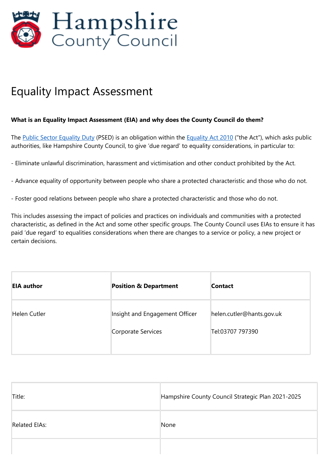

# Equality Impact Assessment

#### **What is an Equality Impact Assessment (EIA) and why does the County Council do them?**

The Public Sector [Equality](https://www.legislation.gov.uk/ukpga/2010/15/contents) Duty (PSED) is an obligation within the Equality Act 2010 ("the Act"), which asks public authorities, like Hampshire County Council, to give 'due regard' to equality considerations, in particular to:

- Eliminate unlawful discrimination, harassment and victimisation and other conduct prohibited by the Act.
- Advance equality of opportunity between people who share a protected characteristic and those who do not.
- Foster good relations between people who share a protected characteristic and those who do not.

This includes assessing the impact of policies and practices on individuals and communities with a protected characteristic, as defined in the Act and some other specific groups. The County Council uses EIAs to ensure it has paid 'due regard' to equalities considerations when there are changes to a service or policy, a new project or certain decisions.

| <b>EIA author</b>   | <b>Position &amp; Department</b> | <b>Contact</b>            |
|---------------------|----------------------------------|---------------------------|
| <b>Helen Cutler</b> | Insight and Engagement Officer   | helen.cutler@hants.gov.uk |
|                     | Corporate Services               | Tel:03707 797390          |

| Title:               | Hampshire County Council Strategic Plan 2021-2025 |
|----------------------|---------------------------------------------------|
| <b>Related EIAs:</b> | None                                              |
|                      |                                                   |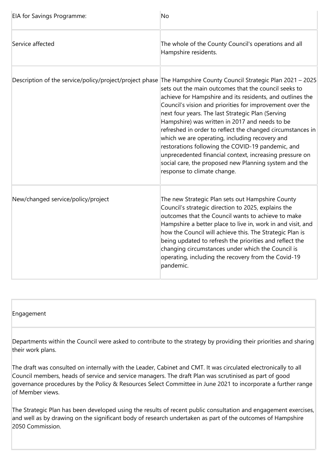| EIA for Savings Programme:         | <b>No</b>                                                                                                                                                                                                                                                                                                                                                                                                                                                                                                                                                                                                                                                                                                                       |
|------------------------------------|---------------------------------------------------------------------------------------------------------------------------------------------------------------------------------------------------------------------------------------------------------------------------------------------------------------------------------------------------------------------------------------------------------------------------------------------------------------------------------------------------------------------------------------------------------------------------------------------------------------------------------------------------------------------------------------------------------------------------------|
| Service affected                   | The whole of the County Council's operations and all<br>Hampshire residents.                                                                                                                                                                                                                                                                                                                                                                                                                                                                                                                                                                                                                                                    |
|                                    | Description of the service/policy/project/project phase The Hampshire County Council Strategic Plan 2021 – 2025<br>sets out the main outcomes that the council seeks to<br>achieve for Hampshire and its residents, and outlines the<br>Council's vision and priorities for improvement over the<br>next four years. The last Strategic Plan (Serving<br>Hampshire) was written in 2017 and needs to be<br>refreshed in order to reflect the changed circumstances in<br>which we are operating, including recovery and<br>restorations following the COVID-19 pandemic, and<br>unprecedented financial context, increasing pressure on<br>social care, the proposed new Planning system and the<br>response to climate change. |
| New/changed service/policy/project | The new Strategic Plan sets out Hampshire County<br>Council's strategic direction to 2025, explains the<br>outcomes that the Council wants to achieve to make<br>Hampshire a better place to live in, work in and visit, and<br>how the Council will achieve this. The Strategic Plan is<br>being updated to refresh the priorities and reflect the<br>changing circumstances under which the Council is<br>operating, including the recovery from the Covid-19<br>pandemic.                                                                                                                                                                                                                                                    |

#### Engagement

Departments within the Council were asked to contribute to the strategy by providing their priorities and sharing their work plans.

The draft was consulted on internally with the Leader, Cabinet and CMT. It was circulated electronically to all Council members, heads of service and service managers. The draft Plan was scrutinised as part of good governance procedures by the Policy & Resources Select Committee in June 2021 to incorporate a further range of Member views.

The Strategic Plan has been developed using the results of recent public consultation and engagement exercises, and well as by drawing on the significant body of research undertaken as part of the outcomes of Hampshire 2050 Commission.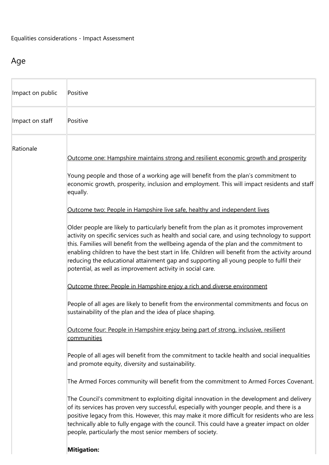### Age

| Impact on public | Positive                                                                                                                                                                                                                                                                                                                                                                                                                                                                                                                                                                                                                                                                                                                                                                                                                                                                                                                                                                                                                                                                                                                                                                                                                                                                                                                                                                                                                                                                                                                                                                                                                                                                                                                                                                                                                                                                                                                                                                                      |
|------------------|-----------------------------------------------------------------------------------------------------------------------------------------------------------------------------------------------------------------------------------------------------------------------------------------------------------------------------------------------------------------------------------------------------------------------------------------------------------------------------------------------------------------------------------------------------------------------------------------------------------------------------------------------------------------------------------------------------------------------------------------------------------------------------------------------------------------------------------------------------------------------------------------------------------------------------------------------------------------------------------------------------------------------------------------------------------------------------------------------------------------------------------------------------------------------------------------------------------------------------------------------------------------------------------------------------------------------------------------------------------------------------------------------------------------------------------------------------------------------------------------------------------------------------------------------------------------------------------------------------------------------------------------------------------------------------------------------------------------------------------------------------------------------------------------------------------------------------------------------------------------------------------------------------------------------------------------------------------------------------------------------|
| Impact on staff  | Positive                                                                                                                                                                                                                                                                                                                                                                                                                                                                                                                                                                                                                                                                                                                                                                                                                                                                                                                                                                                                                                                                                                                                                                                                                                                                                                                                                                                                                                                                                                                                                                                                                                                                                                                                                                                                                                                                                                                                                                                      |
| Rationale        | Outcome one: Hampshire maintains strong and resilient economic growth and prosperity<br>Young people and those of a working age will benefit from the plan's commitment to<br>economic growth, prosperity, inclusion and employment. This will impact residents and staff<br>equally.<br>Outcome two: People in Hampshire live safe, healthy and independent lives<br>Older people are likely to particularly benefit from the plan as it promotes improvement<br>activity on specific services such as health and social care, and using technology to support<br>this. Families will benefit from the wellbeing agenda of the plan and the commitment to<br>enabling children to have the best start in life. Children will benefit from the activity around<br>reducing the educational attainment gap and supporting all young people to fulfil their<br>potential, as well as improvement activity in social care.<br>Outcome three: People in Hampshire enjoy a rich and diverse environment<br>People of all ages are likely to benefit from the environmental commitments and focus on<br>sustainability of the plan and the idea of place shaping.<br>Outcome four: People in Hampshire enjoy being part of strong, inclusive, resilient<br>communities<br>People of all ages will benefit from the commitment to tackle health and social inequalities<br>and promote equity, diversity and sustainability.<br>The Armed Forces community will benefit from the commitment to Armed Forces Covenant.<br>The Council's commitment to exploiting digital innovation in the development and delivery<br>of its services has proven very successful, especially with younger people, and there is a<br>positive legacy from this. However, this may make it more difficult for residents who are less<br>technically able to fully engage with the council. This could have a greater impact on older<br>people, particularly the most senior members of society.<br><b>Mitigation:</b> |
|                  |                                                                                                                                                                                                                                                                                                                                                                                                                                                                                                                                                                                                                                                                                                                                                                                                                                                                                                                                                                                                                                                                                                                                                                                                                                                                                                                                                                                                                                                                                                                                                                                                                                                                                                                                                                                                                                                                                                                                                                                               |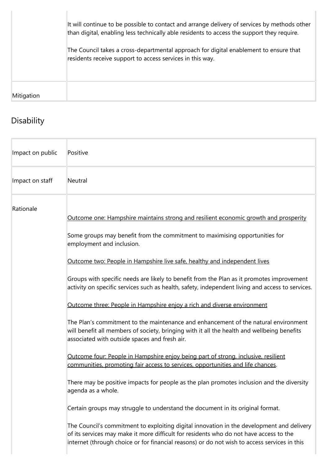|            | It will continue to be possible to contact and arrange delivery of services by methods other<br>than digital, enabling less technically able residents to access the support they require.<br>The Council takes a cross-departmental approach for digital enablement to ensure that<br>residents receive support to access services in this way. |
|------------|--------------------------------------------------------------------------------------------------------------------------------------------------------------------------------------------------------------------------------------------------------------------------------------------------------------------------------------------------|
| Mitigation |                                                                                                                                                                                                                                                                                                                                                  |

# Disability

| Impact on public | Positive                                                                                                                                                                                                                                                                                                                                                                                                                                                                                                                                                                                                                                                                                                                                                                                                                                                                                                                                                                                                                                                                                                                                                                                                                                                                    |
|------------------|-----------------------------------------------------------------------------------------------------------------------------------------------------------------------------------------------------------------------------------------------------------------------------------------------------------------------------------------------------------------------------------------------------------------------------------------------------------------------------------------------------------------------------------------------------------------------------------------------------------------------------------------------------------------------------------------------------------------------------------------------------------------------------------------------------------------------------------------------------------------------------------------------------------------------------------------------------------------------------------------------------------------------------------------------------------------------------------------------------------------------------------------------------------------------------------------------------------------------------------------------------------------------------|
| Impact on staff  | Neutral                                                                                                                                                                                                                                                                                                                                                                                                                                                                                                                                                                                                                                                                                                                                                                                                                                                                                                                                                                                                                                                                                                                                                                                                                                                                     |
| Rationale        | Outcome one: Hampshire maintains strong and resilient economic growth and prosperity<br>Some groups may benefit from the commitment to maximising opportunities for<br>employment and inclusion.<br>Outcome two: People in Hampshire live safe, healthy and independent lives<br>Groups with specific needs are likely to benefit from the Plan as it promotes improvement<br>activity on specific services such as health, safety, independent living and access to services.<br>Outcome three: People in Hampshire enjoy a rich and diverse environment<br>The Plan's commitment to the maintenance and enhancement of the natural environment<br>will benefit all members of society, bringing with it all the health and wellbeing benefits<br>associated with outside spaces and fresh air.<br>Outcome four: People in Hampshire enjoy being part of strong, inclusive, resilient<br>communities, promoting fair access to services, opportunities and life chances.<br>There may be positive impacts for people as the plan promotes inclusion and the diversity<br>agenda as a whole.<br>Certain groups may struggle to understand the document in its original format.<br>The Council's commitment to exploiting digital innovation in the development and delivery |
|                  | of its services may make it more difficult for residents who do not have access to the<br>internet (through choice or for financial reasons) or do not wish to access services in this                                                                                                                                                                                                                                                                                                                                                                                                                                                                                                                                                                                                                                                                                                                                                                                                                                                                                                                                                                                                                                                                                      |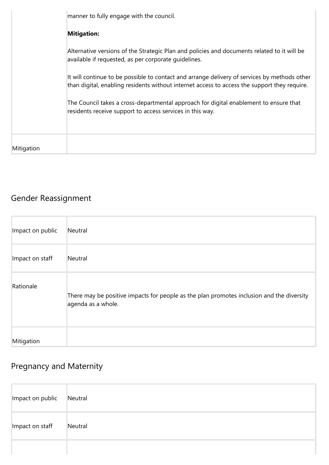|            | manner to fully engage with the council.                                                                                                                                                     |
|------------|----------------------------------------------------------------------------------------------------------------------------------------------------------------------------------------------|
|            | <b>Mitigation:</b>                                                                                                                                                                           |
|            | Alternative versions of the Strategic Plan and policies and documents related to it will be<br>available if requested, as per corporate quidelines.                                          |
|            | It will continue to be possible to contact and arrange delivery of services by methods other<br>than digital, enabling residents without internet access to access the support they require. |
|            | The Council takes a cross-departmental approach for digital enablement to ensure that<br>residents receive support to access services in this way.                                           |
|            |                                                                                                                                                                                              |
| Mitigation |                                                                                                                                                                                              |

## Gender Reassignment

| Impact on public | Neutral                                                                                                         |
|------------------|-----------------------------------------------------------------------------------------------------------------|
| Impact on staff  | Neutral                                                                                                         |
| Rationale        | There may be positive impacts for people as the plan promotes inclusion and the diversity<br>agenda as a whole. |
| Mitigation       |                                                                                                                 |

## Pregnancy and Maternity

| Impact on public | Neutral |
|------------------|---------|
| Impact on staff  | Neutral |
|                  |         |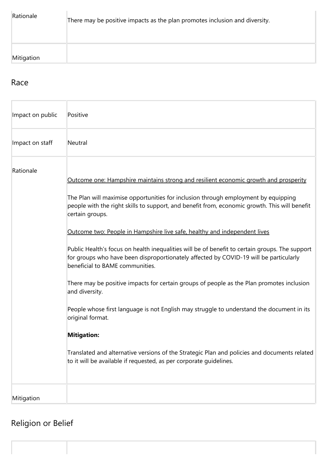| Rationale  | There may be positive impacts as the plan promotes inclusion and diversity. |
|------------|-----------------------------------------------------------------------------|
| Mitigation |                                                                             |

### Race

| Impact on public | Positive                                                                                                                                                                                                                                                                                                                                                                                                                                                                                                                                                                                                                                                                                                                                                                                                                                                                                                                                                                                                                              |
|------------------|---------------------------------------------------------------------------------------------------------------------------------------------------------------------------------------------------------------------------------------------------------------------------------------------------------------------------------------------------------------------------------------------------------------------------------------------------------------------------------------------------------------------------------------------------------------------------------------------------------------------------------------------------------------------------------------------------------------------------------------------------------------------------------------------------------------------------------------------------------------------------------------------------------------------------------------------------------------------------------------------------------------------------------------|
| Impact on staff  | Neutral                                                                                                                                                                                                                                                                                                                                                                                                                                                                                                                                                                                                                                                                                                                                                                                                                                                                                                                                                                                                                               |
| Rationale        | Outcome one: Hampshire maintains strong and resilient economic growth and prosperity<br>The Plan will maximise opportunities for inclusion through employment by equipping<br>people with the right skills to support, and benefit from, economic growth. This will benefit<br>certain groups.<br>Outcome two: People in Hampshire live safe, healthy and independent lives<br>Public Health's focus on health inequalities will be of benefit to certain groups. The support<br>for groups who have been disproportionately affected by COVID-19 will be particularly<br>beneficial to BAME communities.<br>There may be positive impacts for certain groups of people as the Plan promotes inclusion<br>and diversity.<br>People whose first language is not English may struggle to understand the document in its<br>original format.<br><b>Mitigation:</b><br>Translated and alternative versions of the Strategic Plan and policies and documents related<br>to it will be available if requested, as per corporate guidelines. |
| Mitigation       |                                                                                                                                                                                                                                                                                                                                                                                                                                                                                                                                                                                                                                                                                                                                                                                                                                                                                                                                                                                                                                       |

## Religion or Belief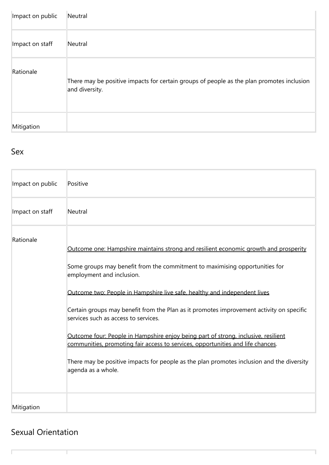| Impact on public | Neutral                                                                                                     |
|------------------|-------------------------------------------------------------------------------------------------------------|
| Impact on staff  | Neutral                                                                                                     |
| Rationale        | There may be positive impacts for certain groups of people as the plan promotes inclusion<br>and diversity. |
| Mitigation       |                                                                                                             |

### Sex

| Impact on public | Positive                                                                                                                                                                                                                                                                                                                                                                                                                                                                                                                                                                                                                                                                                                      |
|------------------|---------------------------------------------------------------------------------------------------------------------------------------------------------------------------------------------------------------------------------------------------------------------------------------------------------------------------------------------------------------------------------------------------------------------------------------------------------------------------------------------------------------------------------------------------------------------------------------------------------------------------------------------------------------------------------------------------------------|
| Impact on staff  | Neutral                                                                                                                                                                                                                                                                                                                                                                                                                                                                                                                                                                                                                                                                                                       |
| Rationale        | Outcome one: Hampshire maintains strong and resilient economic growth and prosperity<br>Some groups may benefit from the commitment to maximising opportunities for<br>employment and inclusion.<br>Outcome two: People in Hampshire live safe, healthy and independent lives<br>Certain groups may benefit from the Plan as it promotes improvement activity on specific<br>services such as access to services.<br>Outcome four: People in Hampshire enjoy being part of strong, inclusive, resilient<br>communities, promoting fair access to services, opportunities and life chances.<br>There may be positive impacts for people as the plan promotes inclusion and the diversity<br>agenda as a whole. |
| Mitigation       |                                                                                                                                                                                                                                                                                                                                                                                                                                                                                                                                                                                                                                                                                                               |

### Sexual Orientation

ľ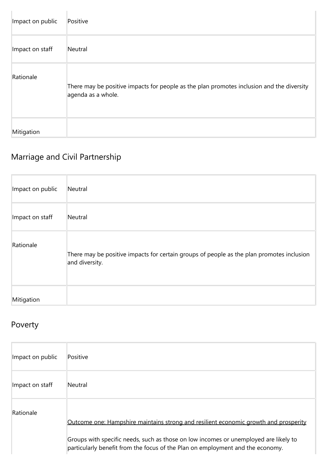| Impact on public | Positive                                                                                                        |
|------------------|-----------------------------------------------------------------------------------------------------------------|
| Impact on staff  | Neutral                                                                                                         |
| Rationale        | There may be positive impacts for people as the plan promotes inclusion and the diversity<br>agenda as a whole. |
| Mitigation       |                                                                                                                 |

## Marriage and Civil Partnership

| Impact on public | Neutral                                                                                                     |
|------------------|-------------------------------------------------------------------------------------------------------------|
| Impact on staff  | Neutral                                                                                                     |
| Rationale        | There may be positive impacts for certain groups of people as the plan promotes inclusion<br>and diversity. |
| Mitigation       |                                                                                                             |

### Poverty

| Impact on public | Positive                                                                                                                                                                                                                                                              |
|------------------|-----------------------------------------------------------------------------------------------------------------------------------------------------------------------------------------------------------------------------------------------------------------------|
| Impact on staff  | Neutral                                                                                                                                                                                                                                                               |
| Rationale        | <u>Outcome one: Hampshire maintains strong and resilient economic growth and prosperity</u><br>Groups with specific needs, such as those on low incomes or unemployed are likely to<br>particularly benefit from the focus of the Plan on employment and the economy. |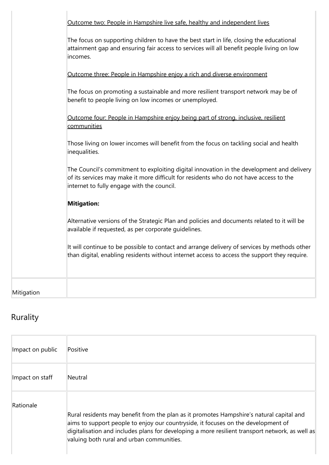|            | Outcome two: People in Hampshire live safe, healthy and independent lives                                                                                                                                                         |
|------------|-----------------------------------------------------------------------------------------------------------------------------------------------------------------------------------------------------------------------------------|
|            | The focus on supporting children to have the best start in life, closing the educational<br>attainment gap and ensuring fair access to services will all benefit people living on low<br>incomes.                                 |
|            | Outcome three: People in Hampshire enjoy a rich and diverse environment                                                                                                                                                           |
|            | The focus on promoting a sustainable and more resilient transport network may be of<br>benefit to people living on low incomes or unemployed.                                                                                     |
|            | Outcome four: People in Hampshire enjoy being part of strong, inclusive, resilient<br>communities                                                                                                                                 |
|            | Those living on lower incomes will benefit from the focus on tackling social and health<br>inequalities.                                                                                                                          |
|            | The Council's commitment to exploiting digital innovation in the development and delivery<br>of its services may make it more difficult for residents who do not have access to the<br>internet to fully engage with the council. |
|            | <b>Mitigation:</b>                                                                                                                                                                                                                |
|            | Alternative versions of the Strategic Plan and policies and documents related to it will be<br>available if requested, as per corporate quidelines.                                                                               |
|            | It will continue to be possible to contact and arrange delivery of services by methods other<br>than digital, enabling residents without internet access to access the support they require.                                      |
| Mitigation |                                                                                                                                                                                                                                   |
|            |                                                                                                                                                                                                                                   |

# Rurality

| Impact on public | Positive                                                                                                                                                                                                                                                                                                                      |
|------------------|-------------------------------------------------------------------------------------------------------------------------------------------------------------------------------------------------------------------------------------------------------------------------------------------------------------------------------|
| Impact on staff  | Neutral                                                                                                                                                                                                                                                                                                                       |
| Rationale        | Rural residents may benefit from the plan as it promotes Hampshire's natural capital and<br>aims to support people to enjoy our countryside, it focuses on the development of<br>digitalisation and includes plans for developing a more resilient transport network, as well as<br>valuing both rural and urban communities. |